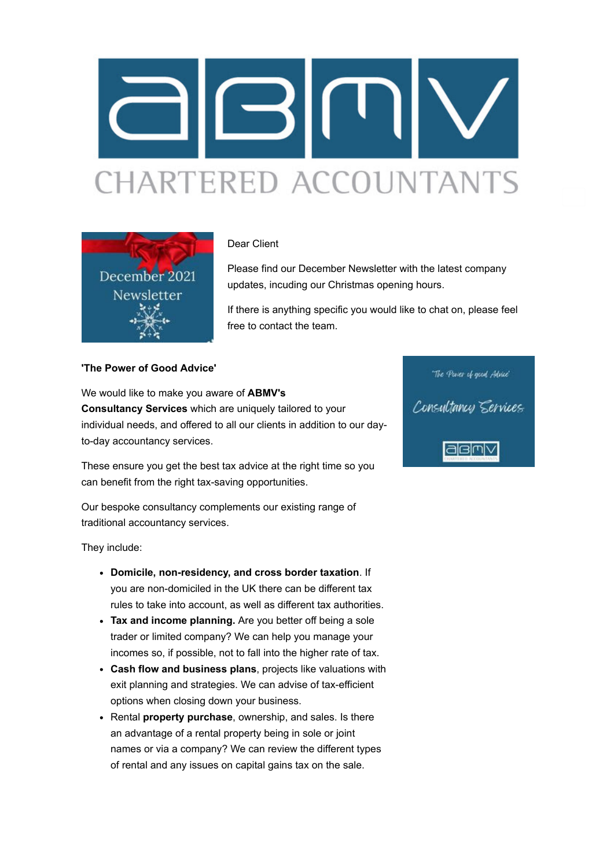



#### Dear Client

Please find our December Newsletter with the latest company updates, incuding our Christmas opening hours.

If there is anything specific you would like to chat on, please feel free to contact the team.

### **'The Power of Good Advice'**

We would like to make you aware of **ABMV's Consultancy Services** which are uniquely tailored to your individual needs, and offered to all our clients in addition to our dayto-day accountancy services.

These ensure you get the best tax advice at the right time so you can benefit from the right tax-saving opportunities.

Our bespoke consultancy complements our existing range of traditional accountancy services.

They include:

- **Domicile, non-residency, and cross border taxation**. If you are non-domiciled in the UK there can be different tax rules to take into account, as well as different tax authorities.
- **Tax and income planning.** Are you better off being a sole trader or limited company? We can help you manage your incomes so, if possible, not to fall into the higher rate of tax.
- **Cash flow and business plans**, projects like valuations with exit planning and strategies. We can advise of tax-efficient options when closing down your business.
- Rental **property purchase**, ownership, and sales. Is there an advantage of a rental property being in sole or joint names or via a company? We can review the different types of rental and any issues on capital gains tax on the sale.

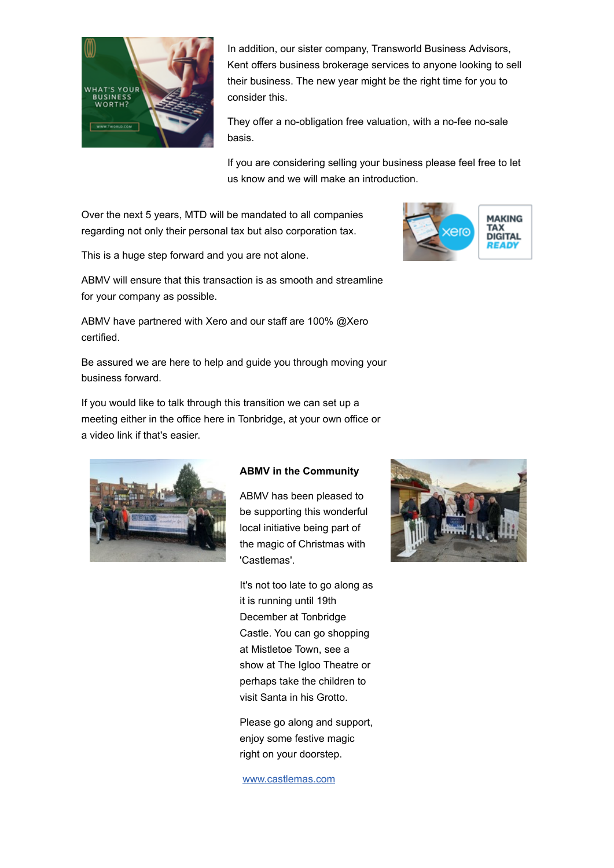

In addition, our sister company, Transworld Business Advisors, Kent offers business brokerage services to anyone looking to sell their business. The new year might be the right time for you to consider this.

They offer a no-obligation free valuation, with a no-fee no-sale basis.

If you are considering selling your business please feel free to let us know and we will make an introduction.

Over the next 5 years, MTD will be mandated to all companies regarding not only their personal tax but also corporation tax.

This is a huge step forward and you are not alone.



ABMV will ensure that this transaction is as smooth and streamline for your company as possible.

ABMV have partnered with Xero and our staff are 100% @Xero certified.

Be assured we are here to help and guide you through moving your business forward.

If you would like to talk through this transition we can set up a meeting either in the office here in Tonbridge, at your own office or a video link if that's easier.



### **ABMV in the Community**

ABMV has been pleased to be supporting this wonderful local initiative being part of the magic of Christmas with 'Castlemas'.

It's not too late to go along as it is running until 19th December at Tonbridge Castle. You can go shopping at Mistletoe Town, see a show at The Igloo Theatre or perhaps take the children to visit Santa in his Grotto.

Please go along and support, enjoy some festive magic right on your doorstep.

[www.castlemas.com](http://click.maildeliveri.es/ls/click?upn=lWC0NbS1e7bZVv6t45RFx9ImcKo6WZW435Ws4ryTAm8iqsjr0wHvF7dz3q8r8RatzuU0pDTXXe6vbqzmZIXJJz-2FEadOGat3Jmq2Ag-2BiLPQsW2MAzWjD-2B2c2WuJlbK7C1LrNPe1UxQbyGZFbXS0CIuQ-3D-3DUT8U_USJ5cDpdc-2FIGgHW-2Bos8LhgTFSGdJa3tbOc3TNFu4j2C-2FReRJ5EVaxcLSf0PCOKgqz9bJnn0PdGF7TQve4PScPa7NthKmWCPBp8stJO7dx35vwpBvakyJvRebAwRMJSYRqzpYM-2F6arfmEl4lV-2BE9wLSL0jkWszbFVGMxcdgIfyayo3XZrqXMr5kXmFL3roUWxWmokOim1gFRw77j4RbBfJiha8G7jxBZlUMD7rlLXV-2Fu-2BNYggcbQ-2FnTCUqAgTDAAkqSA7-2Faf8Be9Q30IUgJiSIRb7oWCIwMwLOrEUMZjAckEaaMqE9hsN0bzmXy-2F87Zl1)

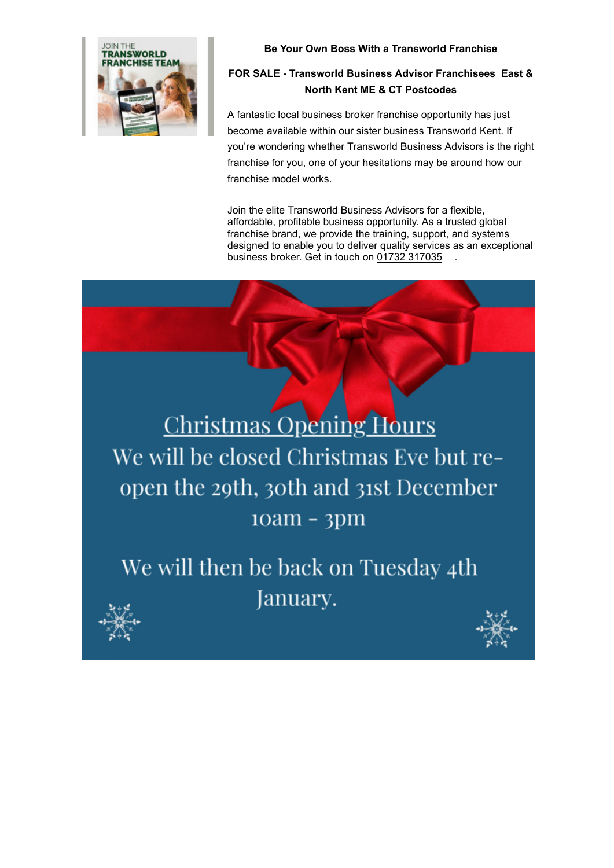

## **Be Your Own Boss With a Transworld Franchise**

# **FOR SALE - Transworld Business Advisor Franchisees East & North Kent ME & CT Postcodes**

A fantastic local business broker franchise opportunity has just become available within our sister business Transworld Kent. If you're wondering whether Transworld Business Advisors is the right franchise for you, one of your hesitations may be around how our franchise model works.

Join the elite Transworld Business Advisors for a flexible, affordable, profitable business opportunity. As a trusted global franchise brand, we provide the training, support, and systems designed to enable you to deliver quality services as an exceptional business broker. Get in touch on [01732 317035](glocom://01732317035)

**Christmas Opening Hours** We will be closed Christmas Eve but reopen the 29th, 30th and 31st December  $10am - 3pm$ 

We will then be back on Tuesday 4th January.